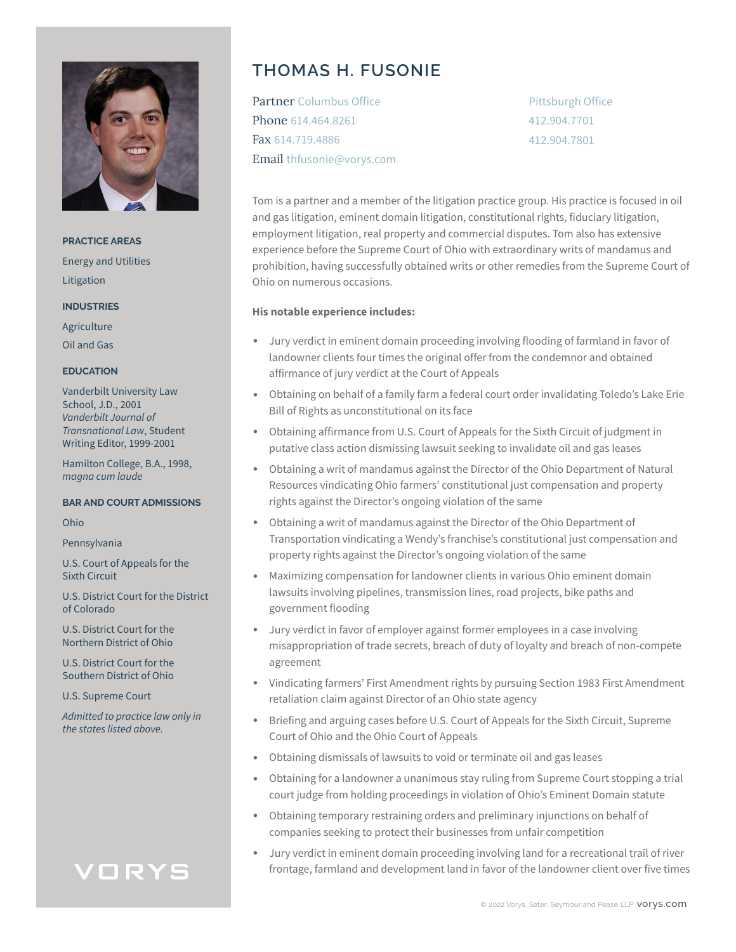

**PRACTICE AREAS** Energy and Utilities Litigation

**INDUSTRIES**

Agriculture Oil and Gas

#### **EDUCATION**

Vanderbilt University Law School, J.D., 2001 *Vanderbilt Journal of Transnational Law*, Student Writing Editor, 1999-2001

Hamilton College, B.A., 1998, *magna cum laude*

#### **BAR AND COURT ADMISSIONS**

Ohio

Pennsylvania

U.S. Court of Appeals for the Sixth Circuit

U.S. District Court for the District of Colorado

U.S. District Court for the Northern District of Ohio

U.S. District Court for the Southern District of Ohio

U.S. Supreme Court

*Admitted to practice law only in the states listed above.*

# VORYS

## **THOMAS H. FUSONIE**

Partner Columbus Office Phone 614.464.8261 Fax 614.719.4886 Email thfusonie@vorys.com Pittsburgh Office 412.904.7701 412.904.7801

Tom is a partner and a member of the litigation practice group. His practice is focused in oil and gas litigation, eminent domain litigation, constitutional rights, fiduciary litigation, employment litigation, real property and commercial disputes. Tom also has extensive experience before the Supreme Court of Ohio with extraordinary writs of mandamus and prohibition, having successfully obtained writs or other remedies from the Supreme Court of Ohio on numerous occasions.

#### **His notable experience includes:**

- Jury verdict in eminent domain proceeding involving flooding of farmland in favor of landowner clients four times the original offer from the condemnor and obtained affirmance of jury verdict at the Court of Appeals
- Obtaining on behalf of a family farm a federal court order invalidating Toledo's Lake Erie Bill of Rights as unconstitutional on its face
- Obtaining affirmance from U.S. Court of Appeals for the Sixth Circuit of judgment in putative class action dismissing lawsuit seeking to invalidate oil and gas leases
- Obtaining a writ of mandamus against the Director of the Ohio Department of Natural Resources vindicating Ohio farmers' constitutional just compensation and property rights against the Director's ongoing violation of the same
- Obtaining a writ of mandamus against the Director of the Ohio Department of Transportation vindicating a Wendy's franchise's constitutional just compensation and property rights against the Director's ongoing violation of the same
- Maximizing compensation for landowner clients in various Ohio eminent domain lawsuits involving pipelines, transmission lines, road projects, bike paths and government flooding
- Jury verdict in favor of employer against former employees in a case involving misappropriation of trade secrets, breach of duty of loyalty and breach of non-compete agreement
- Vindicating farmers' First Amendment rights by pursuing Section 1983 First Amendment retaliation claim against Director of an Ohio state agency
- Briefing and arguing cases before U.S. Court of Appeals for the Sixth Circuit, Supreme Court of Ohio and the Ohio Court of Appeals
- Obtaining dismissals of lawsuits to void or terminate oil and gas leases
- Obtaining for a landowner a unanimous stay ruling from Supreme Court stopping a trial court judge from holding proceedings in violation of Ohio's Eminent Domain statute
- Obtaining temporary restraining orders and preliminary injunctions on behalf of companies seeking to protect their businesses from unfair competition
- Jury verdict in eminent domain proceeding involving land for a recreational trail of river frontage, farmland and development land in favor of the landowner client over five times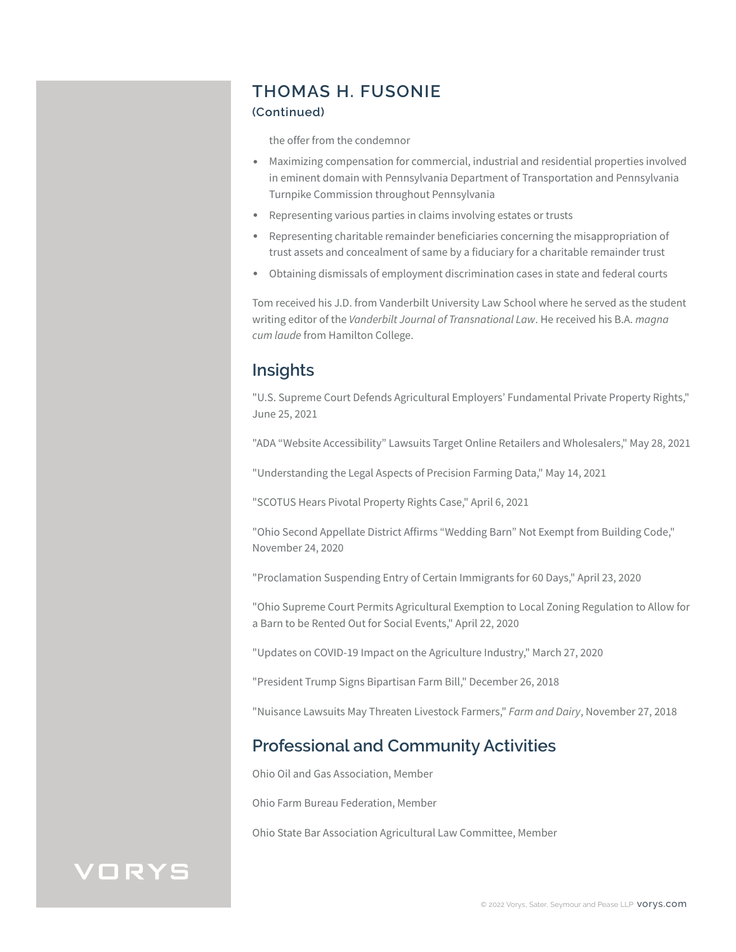## **THOMAS H. FUSONIE**

#### **(Continued)**

the offer from the condemnor

- Maximizing compensation for commercial, industrial and residential properties involved in eminent domain with Pennsylvania Department of Transportation and Pennsylvania Turnpike Commission throughout Pennsylvania
- Representing various parties in claims involving estates or trusts
- Representing charitable remainder beneficiaries concerning the misappropriation of trust assets and concealment of same by a fiduciary for a charitable remainder trust
- Obtaining dismissals of employment discrimination cases in state and federal courts

Tom received his J.D. from Vanderbilt University Law School where he served as the student writing editor of the *Vanderbilt Journal of Transnational Law*. He received his B.A. *magna cum laude* from Hamilton College.

### **Insights**

"U.S. Supreme Court Defends Agricultural Employers' Fundamental Private Property Rights," June 25, 2021

"ADA "Website Accessibility" Lawsuits Target Online Retailers and Wholesalers," May 28, 2021

"Understanding the Legal Aspects of Precision Farming Data," May 14, 2021

"SCOTUS Hears Pivotal Property Rights Case," April 6, 2021

"Ohio Second Appellate District Affirms "Wedding Barn" Not Exempt from Building Code," November 24, 2020

"Proclamation Suspending Entry of Certain Immigrants for 60 Days," April 23, 2020

"Ohio Supreme Court Permits Agricultural Exemption to Local Zoning Regulation to Allow for a Barn to be Rented Out for Social Events," April 22, 2020

"Updates on COVID-19 Impact on the Agriculture Industry," March 27, 2020

"President Trump Signs Bipartisan Farm Bill," December 26, 2018

"Nuisance Lawsuits May Threaten Livestock Farmers," *Farm and Dairy*, November 27, 2018

### **Professional and Community Activities**

Ohio Oil and Gas Association, Member

Ohio Farm Bureau Federation, Member

Ohio State Bar Association Agricultural Law Committee, Member

## VORYS